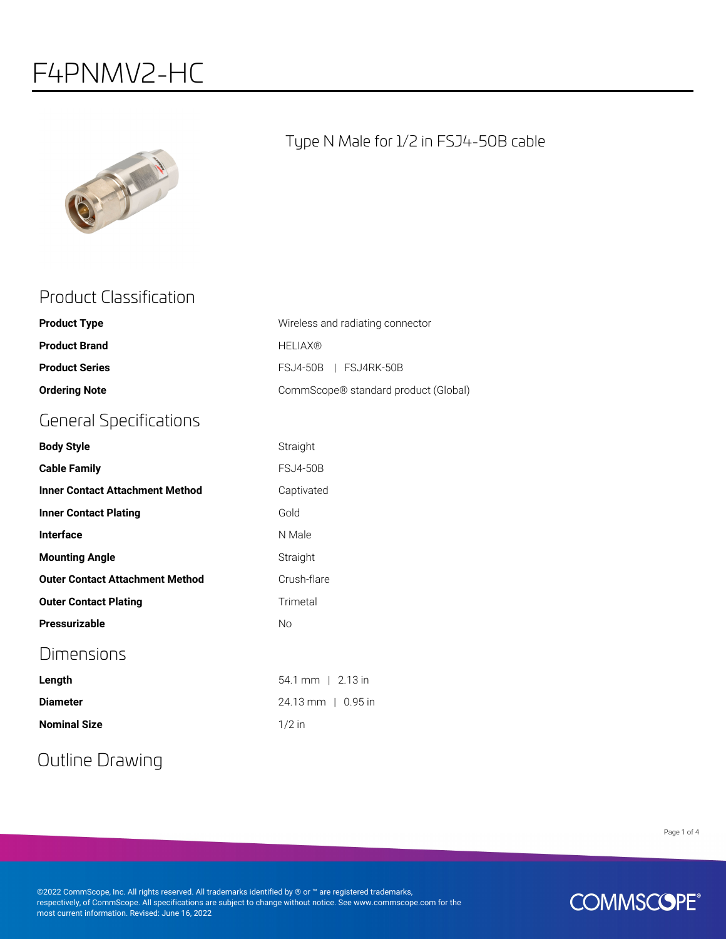## F4PNMV2-HC



#### Type N Male for 1/2 in FSJ4-50B cable

#### Product Classification

| <b>Product Type</b>                    | Wireless and radiating connector     |
|----------------------------------------|--------------------------------------|
| <b>Product Brand</b>                   | <b>HELIAX®</b>                       |
| <b>Product Series</b>                  | FSJ4-50B   FSJ4RK-50B                |
| <b>Ordering Note</b>                   | CommScope® standard product (Global) |
| <b>General Specifications</b>          |                                      |
| <b>Body Style</b>                      | Straight                             |
| <b>Cable Family</b>                    | <b>FSJ4-50B</b>                      |
| <b>Inner Contact Attachment Method</b> | Captivated                           |
| <b>Inner Contact Plating</b>           | Gold                                 |
| Interface                              | N Male                               |
| <b>Mounting Angle</b>                  | Straight                             |
| <b>Outer Contact Attachment Method</b> | Crush-flare                          |
| <b>Outer Contact Plating</b>           | Trimetal                             |
| Pressurizable                          | <b>No</b>                            |
| Dimensions                             |                                      |
| Length                                 | 54.1 mm   2.13 in                    |
| <b>Diameter</b>                        | 24.13 mm   0.95 in                   |
| <b>Nominal Size</b>                    | $1/2$ in                             |

## Outline Drawing

Page 1 of 4

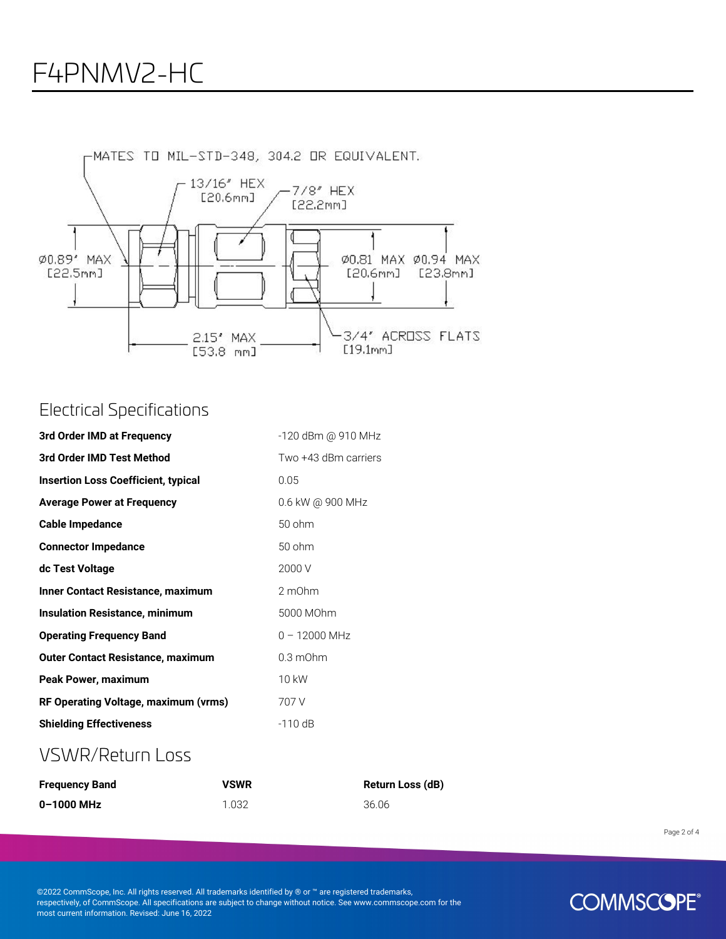

#### Electrical Specifications

| 3rd Order IMD at Frequency                 | -120 dBm @ 910 MHz   |
|--------------------------------------------|----------------------|
| 3rd Order IMD Test Method                  | Two +43 dBm carriers |
| <b>Insertion Loss Coefficient, typical</b> | 0.05                 |
| <b>Average Power at Frequency</b>          | 0.6 kW @ 900 MHz     |
| Cable Impedance                            | 50 ohm               |
| <b>Connector Impedance</b>                 | 50 ohm               |
| dc Test Voltage                            | 2000 V               |
| <b>Inner Contact Resistance, maximum</b>   | 2 m0hm               |
| <b>Insulation Resistance, minimum</b>      | 5000 MOhm            |
| <b>Operating Frequency Band</b>            | $0 - 12000$ MHz      |
| <b>Outer Contact Resistance, maximum</b>   | $0.3 \text{ mOhm}$   |
| Peak Power, maximum                        | 10 kW                |
| RF Operating Voltage, maximum (vrms)       | 707 V                |
| <b>Shielding Effectiveness</b>             | $-110$ dB            |

#### VSWR/Return Loss

| <b>Frequency Band</b> | <b>VSWR</b> | Return Loss (dB) |
|-----------------------|-------------|------------------|
| 0-1000 MHz            | 1.032       | 36.06            |

Page 2 of 4

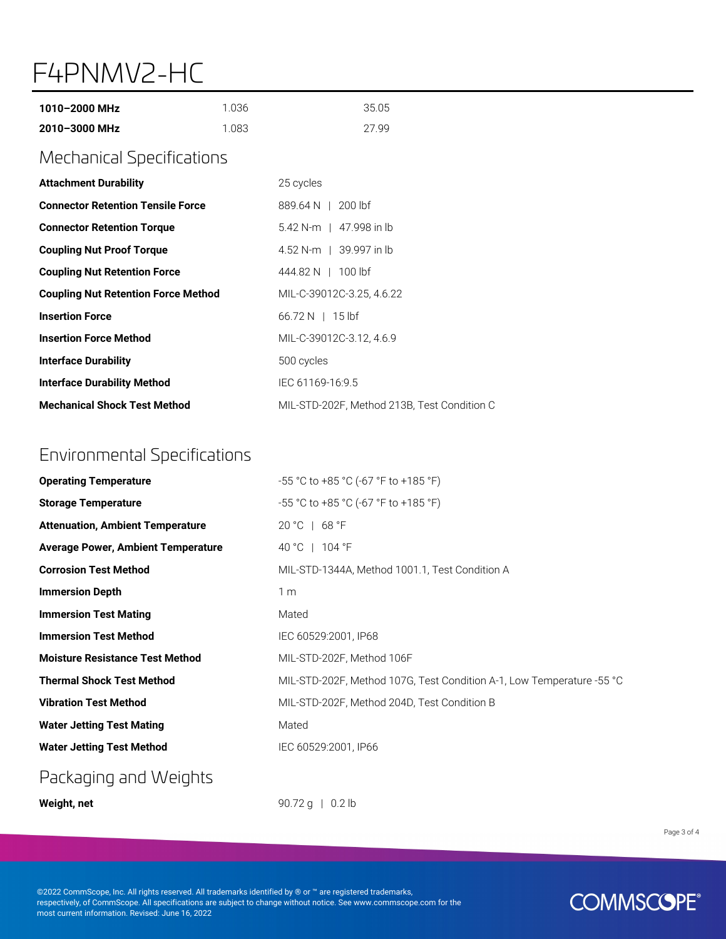## F4PNMV2-HC

| 1010-2000 MHz<br>2010-3000 MHz             | 1.036<br>1.083 | 35.05<br>27.99                              |  |
|--------------------------------------------|----------------|---------------------------------------------|--|
| <b>Mechanical Specifications</b>           |                |                                             |  |
| <b>Attachment Durability</b>               |                | 25 cycles                                   |  |
| <b>Connector Retention Tensile Force</b>   |                | 889.64 N   200 lbf                          |  |
| <b>Connector Retention Torque</b>          |                | 5.42 N-m   47.998 in lb                     |  |
| <b>Coupling Nut Proof Torque</b>           |                | 4.52 N-m   39.997 in lb                     |  |
| <b>Coupling Nut Retention Force</b>        |                | 444.82 N   100 lbf                          |  |
| <b>Coupling Nut Retention Force Method</b> |                | MIL-C-39012C-3.25, 4.6.22                   |  |
| <b>Insertion Force</b>                     |                | $66.72 N$   15 lbf                          |  |
| <b>Insertion Force Method</b>              |                | MIL-C-39012C-3.12, 4.6.9                    |  |
| <b>Interface Durability</b>                |                | 500 cycles                                  |  |
| <b>Interface Durability Method</b>         |                | IEC 61169-16:9.5                            |  |
| <b>Mechanical Shock Test Method</b>        |                | MIL-STD-202F, Method 213B, Test Condition C |  |

### Environmental Specifications

| <b>Operating Temperature</b>              | $-55$ °C to +85 °C (-67 °F to +185 °F)                                |
|-------------------------------------------|-----------------------------------------------------------------------|
| <b>Storage Temperature</b>                | -55 °C to +85 °C (-67 °F to +185 °F)                                  |
| <b>Attenuation, Ambient Temperature</b>   | $20 °C + 68 °F$                                                       |
| <b>Average Power, Ambient Temperature</b> | 40 °C   104 °F                                                        |
| <b>Corrosion Test Method</b>              | MIL-STD-1344A, Method 1001.1, Test Condition A                        |
| <b>Immersion Depth</b>                    | 1 <sub>m</sub>                                                        |
| <b>Immersion Test Mating</b>              | Mated                                                                 |
| <b>Immersion Test Method</b>              | IEC 60529:2001, IP68                                                  |
| <b>Moisture Resistance Test Method</b>    | MIL-STD-202F, Method 106F                                             |
| <b>Thermal Shock Test Method</b>          | MIL-STD-202F, Method 107G, Test Condition A-1, Low Temperature -55 °C |
| <b>Vibration Test Method</b>              | MIL-STD-202F, Method 204D, Test Condition B                           |
| <b>Water Jetting Test Mating</b>          | Mated                                                                 |
| <b>Water Jetting Test Method</b>          | IEC 60529:2001. IP66                                                  |

#### Packaging and Weights

**Weight, net** 90.72 g | 0.2 lb

Page 3 of 4